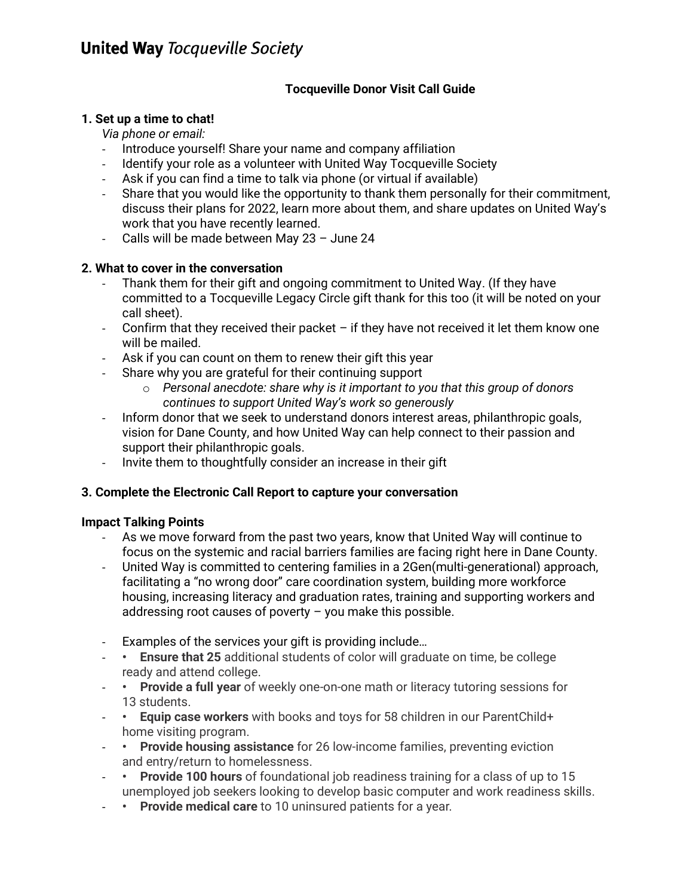# **Tocqueville Donor Visit Call Guide**

## **1. Set up a time to chat!**

*Via phone or email:*

- Introduce yourself! Share your name and company affiliation
- Identify your role as a volunteer with United Way Tocqueville Society
- Ask if you can find a time to talk via phone (or virtual if available)
- Share that you would like the opportunity to thank them personally for their commitment, discuss their plans for 2022, learn more about them, and share updates on United Way's work that you have recently learned.
- Calls will be made between May  $23 -$  June 24

### **2. What to cover in the conversation**

- Thank them for their gift and ongoing commitment to United Way. (If they have committed to a Tocqueville Legacy Circle gift thank for this too (it will be noted on your call sheet).
- Confirm that they received their packet if they have not received it let them know one will be mailed.
- Ask if you can count on them to renew their gift this year
- Share why you are grateful for their continuing support
	- o *Personal anecdote: share why is it important to you that this group of donors continues to support United Way's work so generously*
- Inform donor that we seek to understand donors interest areas, philanthropic goals, vision for Dane County, and how United Way can help connect to their passion and support their philanthropic goals.
- Invite them to thoughtfully consider an increase in their gift

## **3. Complete the Electronic Call Report to capture your conversation**

#### **Impact Talking Points**

- As we move forward from the past two years, know that United Way will continue to focus on the systemic and racial barriers families are facing right here in Dane County.
- United Way is committed to centering families in a 2Gen(multi-generational) approach, facilitating a "no wrong door" care coordination system, building more workforce housing, increasing literacy and graduation rates, training and supporting workers and addressing root causes of poverty – you make this possible.
- Examples of the services your gift is providing include…
- **Ensure that 25** additional students of color will graduate on time, be college ready and attend college.
- **Provide a full year** of weekly one-on-one math or literacy tutoring sessions for 13 students.
- **Equip case workers** with books and toys for 58 children in our ParentChild+ home visiting program.
- **Provide housing assistance** for 26 low-income families, preventing eviction and entry/return to homelessness.
- **Provide 100 hours** of foundational job readiness training for a class of up to 15 unemployed job seekers looking to develop basic computer and work readiness skills.
- **Provide medical care** to 10 uninsured patients for a year.